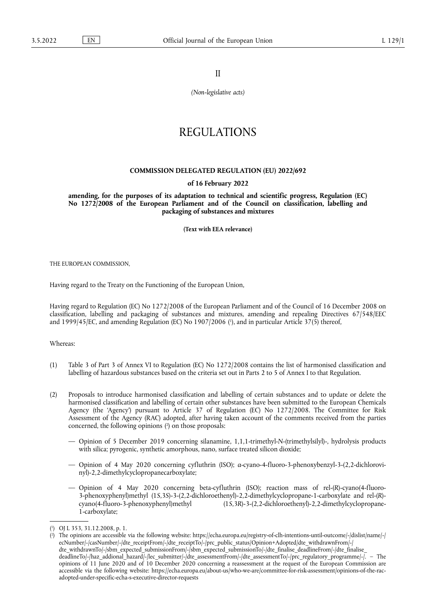II

*(Non-legislative acts)*

# REGULATIONS

### **COMMISSION DELEGATED REGULATION (EU) 2022/692**

#### **of 16 February 2022**

**amending, for the purposes of its adaptation to technical and scientific progress, Regulation (EC) No 1272/2008 of the European Parliament and of the Council on classification, labelling and packaging of substances and mixtures** 

**(Text with EEA relevance)** 

THE EUROPEAN COMMISSION,

Having regard to the Treaty on the Functioning of the European Union,

<span id="page-0-2"></span>Having regard to Regulation (EC) No 1272/2008 of the European Parliament and of the Council of 16 December 2008 on classification, labelling and packaging of substances and mixtures, amending and repealing Directives 67/548/EEC and 1999/45/EC, and amending Regulation (EC) No 1907/2006 ( 1 [\),](#page-0-0) and in particular Article 37(5) thereof,

Whereas:

- (1) Table 3 of Part 3 of Annex VI to Regulation (EC) No 1272/2008 contains the list of harmonised classification and labelling of hazardous substances based on the criteria set out in Parts 2 to 5 of Annex I to that Regulation.
- <span id="page-0-3"></span>(2) Proposals to introduce harmonised classification and labelling of certain substances and to update or delete the harmonised classification and labelling of certain other substances have been submitted to the European Chemicals Agency (the 'Agency') pursuant to Article 37 of Regulation (EC) No 1272/2008. The Committee for Risk Assessment of the Agency (RAC) adopted, after having taken account of the comments received from the parties concerned, the following opinions [\(](#page-0-1) 2 ) on those proposals:
	- Opinion of 5 December 2019 concerning silanamine, 1,1,1-trimethyl-*N*-(trimethylsilyl)-, hydrolysis products with silica; pyrogenic, synthetic amorphous, nano, surface treated silicon dioxide;
	- Opinion of 4 May 2020 concerning cyfluthrin (ISO); *α*-cyano-4-fluoro-3-phenoxybenzyl-3-(2,2-dichlorovinyl)-2,2-dimethylcyclopropanecarboxylate;
	- Opinion of 4 May 2020 concerning beta-cyfluthrin (ISO); reaction mass of rel-(*R*)-cyano(4-fluoro-3-phenoxyphenyl)methyl (1*S*,3*S*)-3-(2,2-dichloroethenyl)-2,2-dimethylcyclopropane-1-carboxylate and rel-(*R*)- (1*S*,3*R*)-3-(2,2-dichloroethenyl)-2,2-dimethylcyclopropane-1-carboxylate;

<span id="page-0-0"></span>[<sup>\(</sup>](#page-0-2) 1 ) OJ L 353, 31.12.2008, p. 1.

<span id="page-0-1"></span>[<sup>\(</sup>](#page-0-3) 2 ) The opinions are accessible via the following website: [https://echa.europa.eu/registry-of-clh-intentions-until-outcome/-/dislist/name/-/](https://echa.europa.eu/registry-of-clh-intentions-until-outcome/-/dislist/name/-/ecNumber/-/casNumber/-/dte_receiptFrom/-/dte_receiptTo/-/prc_public_status/Opinion+Adopted/dte_withdrawnFrom/-/dte_withdrawnTo/-/sbm_expected_submissionFrom/-/sbm_expected_submissionTo/-/dte_finalise_deadlineFrom/-/dte_finalise_deadlineTo/-/haz_addional_hazard/-/lec_submitter/-/dte_assessmentFrom/-/dte_assessmentTo/-/prc_regulatory_programme/-/) [ecNumber/-/casNumber/-/dte\\_receiptFrom/-/dte\\_receiptTo/-/prc\\_public\\_status/Opinion+Adopted/dte\\_withdrawnFrom/-/](https://echa.europa.eu/registry-of-clh-intentions-until-outcome/-/dislist/name/-/ecNumber/-/casNumber/-/dte_receiptFrom/-/dte_receiptTo/-/prc_public_status/Opinion+Adopted/dte_withdrawnFrom/-/dte_withdrawnTo/-/sbm_expected_submissionFrom/-/sbm_expected_submissionTo/-/dte_finalise_deadlineFrom/-/dte_finalise_deadlineTo/-/haz_addional_hazard/-/lec_submitter/-/dte_assessmentFrom/-/dte_assessmentTo/-/prc_regulatory_programme/-/)  [dte\\_withdrawnTo/-/sbm\\_expected\\_submissionFrom/-/sbm\\_expected\\_submissionTo/-/dte\\_finalise\\_deadlineFrom/-/dte\\_finalise\\_](https://echa.europa.eu/registry-of-clh-intentions-until-outcome/-/dislist/name/-/ecNumber/-/casNumber/-/dte_receiptFrom/-/dte_receiptTo/-/prc_public_status/Opinion+Adopted/dte_withdrawnFrom/-/dte_withdrawnTo/-/sbm_expected_submissionFrom/-/sbm_expected_submissionTo/-/dte_finalise_deadlineFrom/-/dte_finalise_deadlineTo/-/haz_addional_hazard/-/lec_submitter/-/dte_assessmentFrom/-/dte_assessmentTo/-/prc_regulatory_programme/-/) [deadlineTo/-/haz\\_addional\\_hazard/-/lec\\_submitter/-/dte\\_assessmentFrom/-/dte\\_assessmentTo/-/prc\\_regulatory\\_programme/-/](https://echa.europa.eu/registry-of-clh-intentions-until-outcome/-/dislist/name/-/ecNumber/-/casNumber/-/dte_receiptFrom/-/dte_receiptTo/-/prc_public_status/Opinion+Adopted/dte_withdrawnFrom/-/dte_withdrawnTo/-/sbm_expected_submissionFrom/-/sbm_expected_submissionTo/-/dte_finalise_deadlineFrom/-/dte_finalise_deadlineTo/-/haz_addional_hazard/-/lec_submitter/-/dte_assessmentFrom/-/dte_assessmentTo/-/prc_regulatory_programme/-/). – The opinions of 11 June 2020 and of 10 December 2020 concerning a reassessment at the request of the European Commission are accessible via the following website: [https://echa.europa.eu/about-us/who-we-are/committee-for-risk-assessment/opinions-of-the-rac](https://echa.europa.eu/about-us/who-we-are/committee-for-risk-assessment/opinions-of-the-rac-adopted-under-specific-echa-s-executive-director-requests)[adopted-under-specific-echa-s-executive-director-requests](https://echa.europa.eu/about-us/who-we-are/committee-for-risk-assessment/opinions-of-the-rac-adopted-under-specific-echa-s-executive-director-requests)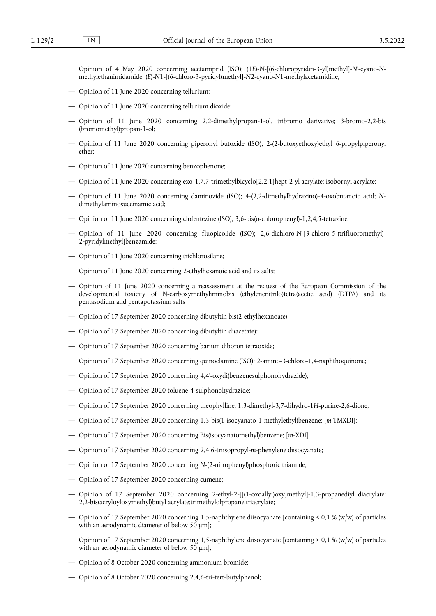- Opinion of 4 May 2020 concerning acetamiprid (ISO); (1*E*)-*N*-[(6-chloropyridin-3-yl)methyl]-*N*'-cyano-*N*methylethanimidamide; (*E*)-*N*1-[(6-chloro-3-pyridyl)methyl]-*N*2-cyano-*N*1-methylacetamidine;
- Opinion of 11 June 2020 concerning tellurium;
- Opinion of 11 June 2020 concerning tellurium dioxide;
- Opinion of 11 June 2020 concerning 2,2-dimethylpropan-1-ol, tribromo derivative; 3-bromo-2,2-bis (bromomethyl)propan-1-ol;
- Opinion of 11 June 2020 concerning piperonyl butoxide (ISO); 2-(2-butoxyethoxy)ethyl 6-propylpiperonyl ether;
- Opinion of 11 June 2020 concerning benzophenone;
- Opinion of 11 June 2020 concerning exo-1,7,7-trimethylbicyclo[2.2.1]hept-2-yl acrylate; isobornyl acrylate;
- Opinion of 11 June 2020 concerning daminozide (ISO); 4-(2,2-dimethylhydrazino)-4-oxobutanoic acid; *N*dimethylaminosuccinamic acid;
- Opinion of 11 June 2020 concerning clofentezine (ISO); 3,6-bis(o-chlorophenyl)-1,2,4,5-tetrazine;
- Opinion of 11 June 2020 concerning fluopicolide (ISO); 2,6-dichloro-*N*-[3-chloro-5-(trifluoromethyl)- 2-pyridylmethyl]benzamide;
- Opinion of 11 June 2020 concerning trichlorosilane;
- Opinion of 11 June 2020 concerning 2-ethylhexanoic acid and its salts;
- Opinion of 11 June 2020 concerning a reassessment at the request of the European Commission of the developmental toxicity of N-carboxymethyliminobis (ethylenenitrilo)tetra(acetic acid) (DTPA) and its pentasodium and pentapotassium salts
- Opinion of 17 September 2020 concerning dibutyltin bis(2-ethylhexanoate);
- Opinion of 17 September 2020 concerning dibutyltin di(acetate);
- Opinion of 17 September 2020 concerning barium diboron tetraoxide;
- Opinion of 17 September 2020 concerning quinoclamine (ISO); 2-amino-3-chloro-1,4-naphthoquinone;
- Opinion of 17 September 2020 concerning 4,4'-oxydi(benzenesulphonohydrazide);
- Opinion of 17 September 2020 toluene-4-sulphonohydrazide;
- Opinion of 17 September 2020 concerning theophylline; 1,3-dimethyl-3,7-dihydro-1*H*-purine-2,6-dione;
- Opinion of 17 September 2020 concerning 1,3-bis(1-isocyanato-1-methylethyl)benzene; [*m*-TMXDI];
- Opinion of 17 September 2020 concerning Bis(isocyanatomethyl)benzene; [*m*-XDI];
- Opinion of 17 September 2020 concerning 2,4,6-triisopropyl-*m*-phenylene diisocyanate;
- Opinion of 17 September 2020 concerning *N*-(2-nitrophenyl)phosphoric triamide;
- Opinion of 17 September 2020 concerning cumene;
- Opinion of 17 September 2020 concerning 2-ethyl-2-[[(1-oxoallyl)oxy]methyl]-1,3-propanediyl diacrylate; 2,2-bis(acryloyloxymethyl)butyl acrylate;trimethylolpropane triacrylate;
- Opinion of 17 September 2020 concerning 1,5-naphthylene diisocyanate [containing < 0,1 % (w/w) of particles with an aerodynamic diameter of below 50 μm];
- Opinion of 17 September 2020 concerning 1,5-naphthylene diisocyanate [containing  $\geq 0.1$  % (w/w) of particles with an aerodynamic diameter of below 50 μm];
- Opinion of 8 October 2020 concerning ammonium bromide;
- Opinion of 8 October 2020 concerning 2,4,6-tri-tert-butylphenol;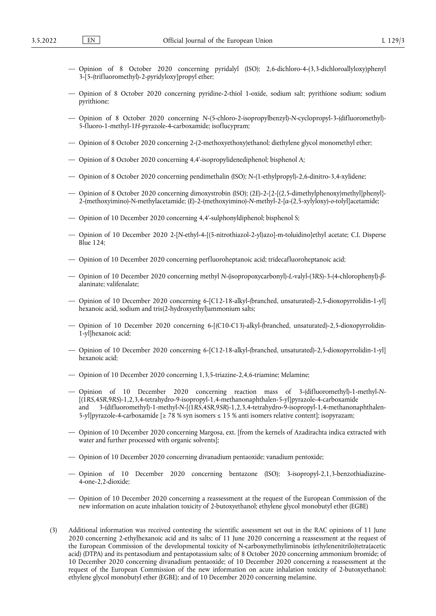- Opinion of 8 October 2020 concerning pyridalyl (ISO); 2,6-dichloro-4-(3,3-dichloroallyloxy)phenyl 3-[5-(trifluoromethyl)-2-pyridyloxy]propyl ether;
- Opinion of 8 October 2020 concerning pyridine-2-thiol 1-oxide, sodium salt; pyrithione sodium; sodium pyrithione;
- Opinion of 8 October 2020 concerning *N*-(5-chloro-2-isopropylbenzyl)-*N*-cyclopropyl-3-(difluoromethyl)- 5-fluoro-1-methyl-1*H*-pyrazole-4-carboxamide; isoflucypram;
- Opinion of 8 October 2020 concerning 2-(2-methoxyethoxy)ethanol; diethylene glycol monomethyl ether;
- Opinion of 8 October 2020 concerning 4,4'-isopropylidenediphenol; bisphenol A;
- Opinion of 8 October 2020 concerning pendimethalin (ISO); *N*-(1-ethylpropyl)-2,6-dinitro-3,4-xylidene;
- Opinion of 8 October 2020 concerning dimoxystrobin (ISO); (2*E*)-2-{2-[(2,5-dimethylphenoxy)methyl]phenyl}- 2-(methoxyimino)-N-methylacetamide; (*E*)-2-(methoxyimino)-*N*-methyl-2-[*α*-(2,5-xylyloxy)-*o*-tolyl]acetamide;
- Opinion of 10 December 2020 concerning 4,4'-sulphonyldiphenol; bisphenol S;
- Opinion of 10 December 2020 2-[*N*-ethyl-4-[(5-nitrothiazol-2-yl)azo]-m-toluidino]ethyl acetate; C.I. Disperse Blue 124;
- Opinion of 10 December 2020 concerning perfluoroheptanoic acid; tridecafluoroheptanoic acid;
- Opinion of 10 December 2020 concerning methyl *N*-(isopropoxycarbonyl)-*L*-valyl-(3*RS*)-3-(4-chlorophenyl)-*β*alaninate; valifenalate;
- Opinion of 10 December 2020 concerning 6-[C12-18-alkyl-(branched, unsaturated)-2,5-dioxopyrrolidin-1-yl] hexanoic acid, sodium and tris(2-hydroxyethyl)ammonium salts;
- Opinion of 10 December 2020 concerning 6-[(C10-C13)-alkyl-(branched, unsaturated)-2,5-dioxopyrrolidin-1-yl]hexanoic acid;
- Opinion of 10 December 2020 concerning 6-[C12-18-alkyl-(branched, unsaturated)-2,5-dioxopyrrolidin-1-yl] hexanoic acid;
- Opinion of 10 December 2020 concerning 1,3,5-triazine-2,4,6-triamine; Melamine;
- Opinion of 10 December 2020 concerning reaction mass of 3-(difluoromethyl)-1-methyl-*N* [(1*RS*,4*SR*,9*RS*)-1,2,3,4-tetrahydro-9-isopropyl-1,4-methanonaphthalen-5-yl]pyrazole-4-carboxamide and 3-(difluoromethyl)-1-methyl-*N*-[(1*RS*,4*SR*,9*SR*)-1,2,3,4-tetrahydro-9-isopropyl-1,4-methanonaphthalen-5-yl]pyrazole-4-carboxamide [ $\geq 78$  % syn isomers  $\leq 15$  % anti isomers relative content]; isopyrazam;
- Opinion of 10 December 2020 concerning Margosa, ext. [from the kernels of Azadirachta indica extracted with water and further processed with organic solvents];
- Opinion of 10 December 2020 concerning divanadium pentaoxide; vanadium pentoxide;
- Opinion of 10 December 2020 concerning bentazone (ISO); 3-isopropyl-2,1,3-benzothiadiazine-4-one-2,2-dioxide;
- Opinion of 10 December 2020 concerning a reassessment at the request of the European Commission of the new information on acute inhalation toxicity of 2-butoxyethanol; ethylene glycol monobutyl ether (EGBE)
- (3) Additional information was received contesting the scientific assessment set out in the RAC opinions of 11 June 2020 concerning 2-ethylhexanoic acid and its salts; of 11 June 2020 concerning a reassessment at the request of the European Commission of the developmental toxicity of N-carboxymethyliminobis (ethylenenitrilo)tetra(acetic acid) (DTPA) and its pentasodium and pentapotassium salts; of 8 October 2020 concerning ammonium bromide; of 10 December 2020 concerning divanadium pentaoxide; of 10 December 2020 concerning a reassessment at the request of the European Commission of the new information on acute inhalation toxicity of 2-butoxyethanol; ethylene glycol monobutyl ether (EGBE); and of 10 December 2020 concerning melamine.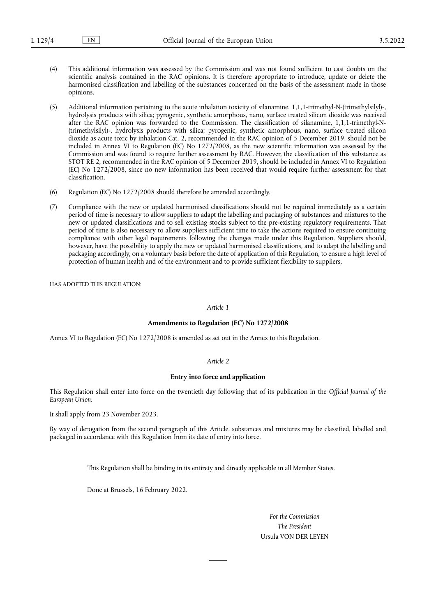- (4) This additional information was assessed by the Commission and was not found sufficient to cast doubts on the scientific analysis contained in the RAC opinions. It is therefore appropriate to introduce, update or delete the harmonised classification and labelling of the substances concerned on the basis of the assessment made in those opinions.
- (5) Additional information pertaining to the acute inhalation toxicity of silanamine, 1,1,1-trimethyl-N-(trimethylsilyl)-, hydrolysis products with silica; pyrogenic, synthetic amorphous, nano, surface treated silicon dioxide was received after the RAC opinion was forwarded to the Commission. The classification of silanamine, 1,1,1-trimethyl-N- (trimethylsilyl)-, hydrolysis products with silica; pyrogenic, synthetic amorphous, nano, surface treated silicon dioxide as acute toxic by inhalation Cat. 2, recommended in the RAC opinion of 5 December 2019, should not be included in Annex VI to Regulation (EC) No 1272/2008, as the new scientific information was assessed by the Commission and was found to require further assessment by RAC. However, the classification of this substance as STOT RE 2, recommended in the RAC opinion of 5 December 2019, should be included in Annex VI to Regulation (EC) No 1272/2008, since no new information has been received that would require further assessment for that classification.
- (6) Regulation (EC) No 1272/2008 should therefore be amended accordingly.
- (7) Compliance with the new or updated harmonised classifications should not be required immediately as a certain period of time is necessary to allow suppliers to adapt the labelling and packaging of substances and mixtures to the new or updated classifications and to sell existing stocks subject to the pre-existing regulatory requirements. That period of time is also necessary to allow suppliers sufficient time to take the actions required to ensure continuing compliance with other legal requirements following the changes made under this Regulation. Suppliers should, however, have the possibility to apply the new or updated harmonised classifications, and to adapt the labelling and packaging accordingly, on a voluntary basis before the date of application of this Regulation, to ensure a high level of protection of human health and of the environment and to provide sufficient flexibility to suppliers,

HAS ADOPTED THIS REGULATION:

#### *Article 1*

#### **Amendments to Regulation (EC) No 1272/2008**

Annex VI to Regulation (EC) No 1272/2008 is amended as set out in the Annex to this Regulation.

### *Article 2*

#### **Entry into force and application**

This Regulation shall enter into force on the twentieth day following that of its publication in the *Official Journal of the European Union*.

It shall apply from 23 November 2023.

By way of derogation from the second paragraph of this Article, substances and mixtures may be classified, labelled and packaged in accordance with this Regulation from its date of entry into force.

This Regulation shall be binding in its entirety and directly applicable in all Member States.

Done at Brussels, 16 February 2022.

*For the Commission The President* Ursula VON DER LEYEN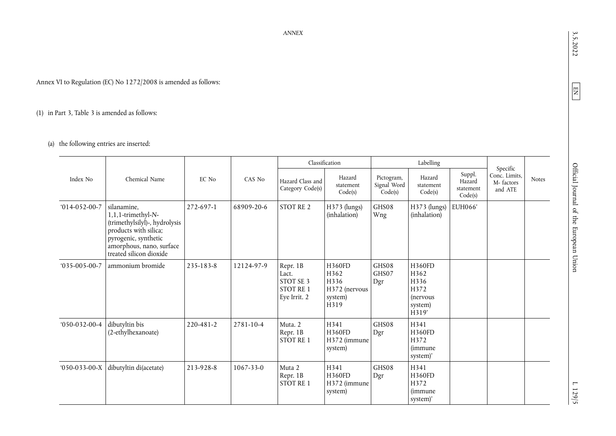Annex VI to Regulation (EC) No 1272/2008 is amended as follows:

# (1) in Part 3, Table 3 is amended as follows:

## (a) the following entries are inserted:

|                      |                                                                                                                                                                            |           |                 |                                                                    | Classification                                                    |                                      | Labelling                                                                    |                                          | Specific                              |              |
|----------------------|----------------------------------------------------------------------------------------------------------------------------------------------------------------------------|-----------|-----------------|--------------------------------------------------------------------|-------------------------------------------------------------------|--------------------------------------|------------------------------------------------------------------------------|------------------------------------------|---------------------------------------|--------------|
| Index No             | Chemical Name                                                                                                                                                              | EC No     | CAS No          | Hazard Class and<br>Category Code(s)                               | Hazard<br>statement<br>Code(s)                                    | Pictogram,<br>Signal Word<br>Code(s) | Hazard<br>statement<br>Code(s)                                               | Suppl.<br>Hazard<br>statement<br>Code(s) | Conc. Limits,<br>M-factors<br>and ATE | <b>Notes</b> |
| $014-052-00-7$       | silanamine,<br>1,1,1-trimethyl-N-<br>(trimethylsilyl)-, hydrolysis<br>products with silica;<br>pyrogenic, synthetic<br>amorphous, nano, surface<br>treated silicon dioxide | 272-697-1 | 68909-20-6      | <b>STOT RE 2</b>                                                   | $H373$ (lungs)<br>(inhalation)                                    | GHS08<br>Wng                         | H373 (lungs)<br>(inhalation)                                                 | EUH066'                                  |                                       |              |
| $035 - 005 - 00 - 7$ | ammonium bromide                                                                                                                                                           | 235-183-8 | 12124-97-9      | Repr. 1B<br>Lact.<br>STOT SE 3<br><b>STOT RE 1</b><br>Eye Irrit. 2 | <b>H360FD</b><br>H362<br>H336<br>H372 (nervous<br>system)<br>H319 | GHS08<br>GHS07<br>Dgr                | <b>H360FD</b><br>H362<br>H336<br>H372<br><i>(nervous</i><br>system)<br>H319' |                                          |                                       |              |
| $050 - 032 - 00 - 4$ | dibutyltin bis<br>(2-ethylhexanoate)                                                                                                                                       | 220-481-2 | 2781-10-4       | Muta. 2<br>Repr. 1B<br><b>STOT RE1</b>                             | H341<br><b>H360FD</b><br>H372 (immune<br>system)                  | GHS08<br>Dgr                         | H341<br><b>H360FD</b><br>H372<br><i>(immune</i> )<br>system)'                |                                          |                                       |              |
| $050-033-00-X$       | dibutyltin di(acetate)                                                                                                                                                     | 213-928-8 | $1067 - 33 - 0$ | Muta 2<br>Repr. 1B<br>STOT RE 1                                    | H341<br>H360FD<br>H372 (immune<br>system)                         | GHS08<br>Dgr                         | H341<br>H360FD<br>H372<br><i>(immune</i> )<br>system)'                       |                                          |                                       |              |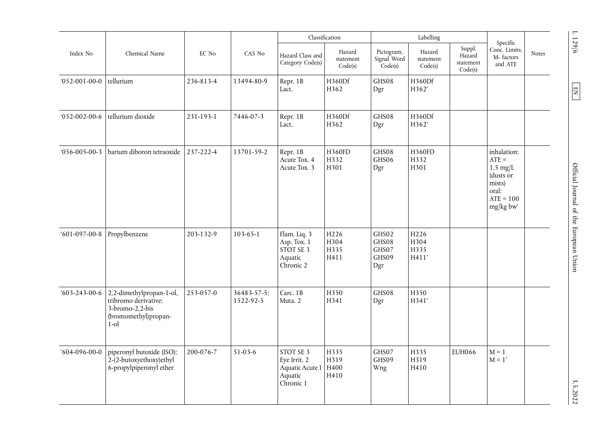|                      |                                                                                                        |           |                          |                                                                      | Classification                           |                                         | Labelling                                 |                                          | Specific                                                                                          |              |
|----------------------|--------------------------------------------------------------------------------------------------------|-----------|--------------------------|----------------------------------------------------------------------|------------------------------------------|-----------------------------------------|-------------------------------------------|------------------------------------------|---------------------------------------------------------------------------------------------------|--------------|
| Index No             | Chemical Name                                                                                          | EC No     | CAS No                   | Hazard Class and<br>Category Code(s)                                 | Hazard<br>statement<br>Code(s)           | Pictogram,<br>Signal Word<br>Code(s)    | Hazard<br>statement<br>Code(s)            | Suppl.<br>Hazard<br>statement<br>Code(s) | Conc. Limits,<br>M-factors<br>and ATE                                                             | <b>Notes</b> |
| $052-001-00-0$       | tellurium                                                                                              | 236-813-4 | 13494-80-9               | Repr. 1B<br>Lact.                                                    | H360Df<br>H362                           | GHS08<br>Dgr                            | H360Df<br>H362'                           |                                          |                                                                                                   |              |
| $052-002-00-6$       | tellurium dioxide                                                                                      | 231-193-1 | 7446-07-3                | Repr. 1B<br>Lact.                                                    | H360Df<br>H362                           | GHS08<br>Dgr                            | H360Df<br>H362'                           |                                          |                                                                                                   |              |
| $056 - 005 - 00 - 3$ | barium diboron tetraoxide                                                                              | 237-222-4 | 13701-59-2               | Repr. 1B<br>Acute Tox. 4<br>Acute Tox. 3                             | H360FD<br>H332<br>H301                   | GHS08<br>GHS06<br>Dgr                   | H360FD<br>H332<br>H301                    |                                          | inhalation:<br>$ATE =$<br>$1,5$ mg/L<br>(dusts or<br>mists)<br>oral:<br>$ATE = 100$<br>$mg/kg$ bw |              |
| $601-097-00-8$       | Propylbenzene                                                                                          | 203-132-9 | $103 - 65 - 1$           | Flam. Liq. 3<br>Asp. Tox. 1<br>STOT SE 3<br>Aquatic<br>Chronic 2     | H <sub>226</sub><br>H304<br>H335<br>H411 | GHS02<br>GHS08<br>GHS07<br>GHS09<br>Dgr | H <sub>226</sub><br>H304<br>H335<br>H411' |                                          |                                                                                                   |              |
| $603 - 243 - 00 - 6$ | 2,2-dimethylpropan-1-ol,<br>tribromo derivative;<br>3-bromo-2,2-bis<br>(bromomethyl)propan-<br>$1$ -ol | 253-057-0 | 36483-57-5;<br>1522-92-5 | Carc. 1B<br>Muta. 2                                                  | H350<br>H341                             | GHS08<br>Dgr                            | H350<br>H341'                             |                                          |                                                                                                   |              |
| $604-096-00-0$       | piperonyl butoxide (ISO);<br>2-(2-butoxyethoxy)ethyl<br>6-propylpiperonyl ether                        | 200-076-7 | $51-03-6$                | STOT SE 3<br>Eye Irrit. 2<br>Aquatic Acute 1<br>Aquatic<br>Chronic 1 | H335<br>H319<br>H400<br>H410             | GHS07<br>GHS09<br>Wng                   | H335<br>H319<br>H410                      | EUH066                                   | $M = 1$<br>$M = 1'$                                                                               |              |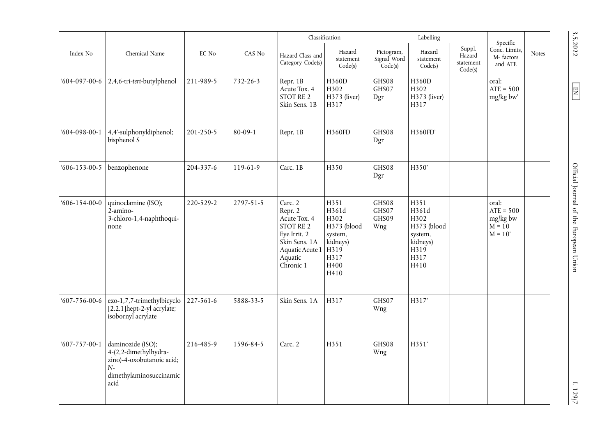|                      |                                                                                                                    |           |                |                                                                                                                                  | Classification                                                                      |                                                 | Labelling                                                                           |                                          | Specific                                                  |              |
|----------------------|--------------------------------------------------------------------------------------------------------------------|-----------|----------------|----------------------------------------------------------------------------------------------------------------------------------|-------------------------------------------------------------------------------------|-------------------------------------------------|-------------------------------------------------------------------------------------|------------------------------------------|-----------------------------------------------------------|--------------|
| Index No             | Chemical Name                                                                                                      | EC No     | CAS No         | Hazard Class and<br>Category Code(s)                                                                                             | Hazard<br>statement<br>Code(s)                                                      | Pictogram,<br>Signal Word<br>$\mathrm{Code}(s)$ | Hazard<br>statement<br>Code(s)                                                      | Suppl.<br>Hazard<br>statement<br>Code(s) | Conc. Limits,<br>M-factors<br>and ATE                     | <b>Notes</b> |
| $604-097-00-6$       | 2,4,6-tri-tert-butylphenol                                                                                         | 211-989-5 | $732 - 26 - 3$ | Repr. 1B<br>Acute Tox. 4<br>STOT RE 2<br>Skin Sens. 1B                                                                           | H360D<br>H302<br>H373 (liver)<br>H317                                               | GHS08<br>GHS07<br>Dgr                           | H360D<br>H302<br>H373 (liver)<br>H317                                               |                                          | oral:<br>$ATE = 500$<br>mg/kg bw'                         |              |
| $604-098-00-1$       | 4,4'-sulphonyldiphenol;<br>bisphenol S                                                                             | 201-250-5 | $80 - 09 - 1$  | Repr. 1B                                                                                                                         | H360FD                                                                              | GHS08<br>Dgr                                    | H360FD'                                                                             |                                          |                                                           |              |
| $606 - 153 - 00 - 5$ | benzophenone                                                                                                       | 204-337-6 | 119-61-9       | Carc. 1B                                                                                                                         | H350                                                                                | GHS08<br>Dgr                                    | H350'                                                                               |                                          |                                                           |              |
| $606 - 154 - 00 - 0$ | quinoclamine (ISO);<br>2-amino-<br>3-chloro-1,4-naphthoqui-<br>none                                                | 220-529-2 | 2797-51-5      | Carc. 2<br>Repr. 2<br>Acute Tox. 4<br>STOT RE 2<br>Eye Irrit. 2<br>Skin Sens. 1A<br>Aquatic Acute 1 H319<br>Aquatic<br>Chronic 1 | H351<br>H361d<br>H302<br>H373 (blood<br>system,<br>kidneys)<br>H317<br>H400<br>H410 | GHS08<br>GHS07<br>GHS09<br>Wng                  | H351<br>H361d<br>H302<br>H373 (blood<br>system,<br>kidneys)<br>H319<br>H317<br>H410 |                                          | oral:<br>$ATE = 500$<br>mg/kg bw<br>$M = 10$<br>$M = 10'$ |              |
| $607 - 756 - 00 - 6$ | exo-1,7,7-trimethylbicyclo<br>[2.2.1] hept-2-yl acrylate;<br>isobornyl acrylate                                    | 227-561-6 | 5888-33-5      | Skin Sens. 1A                                                                                                                    | H317                                                                                | GHS07<br>Wng                                    | H317'                                                                               |                                          |                                                           |              |
| $607 - 757 - 00 - 1$ | daminozide (ISO);<br>4-(2,2-dimethylhydra-<br>zino)-4-oxobutanoic acid;<br>$N-$<br>dimethylaminosuccinamic<br>acid | 216-485-9 | 1596-84-5      | Carc. 2                                                                                                                          | H351                                                                                | GHS08<br>Wng                                    | H351'                                                                               |                                          |                                                           |              |

3.5.2022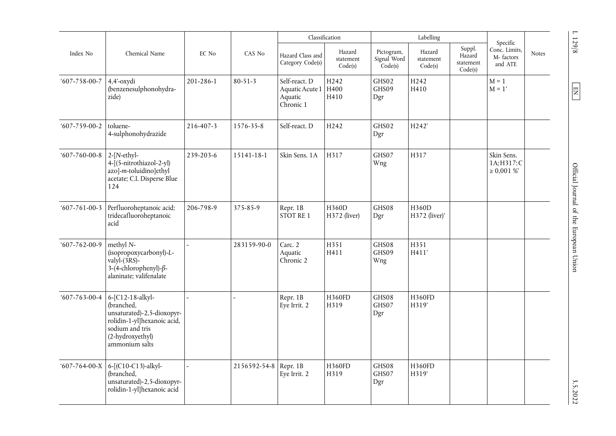|                      |                                                                                                                                                      |           |                       |                                                               | Classification                 |                                      | Labelling                      |                                          | Specific                                     |              |
|----------------------|------------------------------------------------------------------------------------------------------------------------------------------------------|-----------|-----------------------|---------------------------------------------------------------|--------------------------------|--------------------------------------|--------------------------------|------------------------------------------|----------------------------------------------|--------------|
| Index No             | Chemical Name                                                                                                                                        | EC No     | CAS No                | Hazard Class and<br>Category Code(s)                          | Hazard<br>statement<br>Code(s) | Pictogram,<br>Signal Word<br>Code(s) | Hazard<br>statement<br>Code(s) | Suppl.<br>Hazard<br>statement<br>Code(s) | Conc. Limits,<br>M-factors<br>and ATE        | <b>Notes</b> |
| $607 - 758 - 00 - 7$ | 4,4'-oxydi<br>(benzenesulphonohydra-<br>zide)                                                                                                        | 201-286-1 | $80 - 51 - 3$         | Self-react. D<br>Aquatic Acute 1 H400<br>Aquatic<br>Chronic 1 | H <sub>242</sub><br>H410       | GHS02<br>GHS09<br>Dgr                | H <sub>242</sub><br>H410       |                                          | $M = 1$<br>$M = 1'$                          |              |
| $607 - 759 - 00 - 2$ | toluene-<br>4-sulphonohydrazide                                                                                                                      | 216-407-3 | 1576-35-8             | Self-react. D                                                 | H <sub>242</sub>               | GHS02<br>Dgr                         | H242'                          |                                          |                                              |              |
| $607 - 760 - 00 - 8$ | $2-[N-ethyl-$<br>4-[(5-nitrothiazol-2-yl)<br>azo]-m-toluidino]ethyl<br>acetate; C.I. Disperse Blue<br>124                                            | 239-203-6 | 15141-18-1            | Skin Sens. 1A                                                 | H317                           | GHS07<br>Wng                         | H317                           |                                          | Skin Sens.<br>1A; H317: C<br>$\geq 0.001$ %' |              |
| $607 - 761 - 00 - 3$ | Perfluoroheptanoic acid;<br>tridecafluoroheptanoic<br>acid                                                                                           | 206-798-9 | 375-85-9              | Repr. 1B<br>STOT RE 1                                         | H360D<br>H372 (liver)          | GHS08<br>Dgr                         | H360D<br>H372 (liver)'         |                                          |                                              |              |
| $607 - 762 - 00 - 9$ | methyl N-<br>(isopropoxycarbonyl)-L-<br>valyl- $(\overline{3}RS)$ -<br>$3-(4-chlorophenyl)-\beta-$<br>alaninate; valifenalate                        |           | 283159-90-0           | Carc. 2<br>Aquatic<br>Chronic 2                               | H351<br>H411                   | GHS08<br>GHS09<br>Wng                | H351<br>H411'                  |                                          |                                              |              |
| $607 - 763 - 00 - 4$ | 6-[C12-18-alkyl-<br>(branched,<br>unsaturated)-2,5-dioxopyr-<br>rolidin-1-yl]hexanoic acid,<br>sodium and tris<br>(2-hydroxyethyl)<br>ammonium salts |           |                       | Repr. 1B<br>Eye Irrit. 2                                      | H360FD<br>H319                 | GHS08<br>GHS07<br>Dgr                | H360FD<br>H319'                |                                          |                                              |              |
| $607 - 764 - 00 - X$ | 6-[(C10-C13)-alkyl-<br>(branched,<br>unsaturated)-2,5-dioxopyr-<br>rolidin-1-yl]hexanoic acid                                                        |           | 2156592-54-8 Repr. 1B | Eye Irrit. 2                                                  | H360FD<br>H319                 | GHS08<br>GHS07<br>Dgr                | H360FD<br>H319'                |                                          |                                              |              |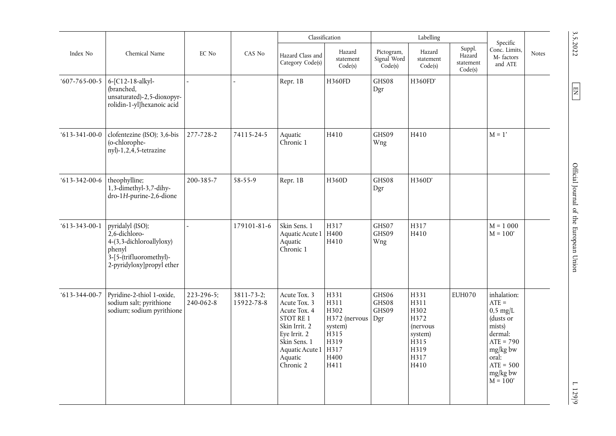|                      |                                                                                                                                    |                         |                          |                                                                                                                                                       | Classification                                                                                       |                                      | Labelling                                                                                  |                                          | Specific                                                                                                                                              |              |
|----------------------|------------------------------------------------------------------------------------------------------------------------------------|-------------------------|--------------------------|-------------------------------------------------------------------------------------------------------------------------------------------------------|------------------------------------------------------------------------------------------------------|--------------------------------------|--------------------------------------------------------------------------------------------|------------------------------------------|-------------------------------------------------------------------------------------------------------------------------------------------------------|--------------|
| Index No             | Chemical Name                                                                                                                      | EC No                   | CAS No                   | Hazard Class and<br>Category Code(s)                                                                                                                  | Hazard<br>statement<br>Code(s)                                                                       | Pictogram,<br>Signal Word<br>Code(s) | Hazard<br>statement<br>Code(s)                                                             | Suppl.<br>Hazard<br>statement<br>Code(s) | Conc. Limits,<br>M-factors<br>and ATE                                                                                                                 | <b>Notes</b> |
| $607 - 765 - 00 - 5$ | 6-[C12-18-alkyl-<br>(branched,<br>unsaturated)-2,5-dioxopyr-<br>rolidin-1-yl]hexanoic acid                                         |                         |                          | Repr. 1B                                                                                                                                              | H360FD                                                                                               | GHS08<br>Dgr                         | H360FD'                                                                                    |                                          |                                                                                                                                                       |              |
| $613 - 341 - 00 - 0$ | clofentezine (ISO); 3,6-bis<br>(o-chlorophe-<br>$nyl$ -1,2,4,5-tetrazine                                                           | 277-728-2               | 74115-24-5               | Aquatic<br>Chronic 1                                                                                                                                  | H410                                                                                                 | GHS09<br>Wng                         | H410                                                                                       |                                          | $M = 1'$                                                                                                                                              |              |
| $613 - 342 - 00 - 6$ | theophylline;<br>1,3-dimethyl-3,7-dihy-<br>dro-1H-purine-2,6-dione                                                                 | 200-385-7               | 58-55-9                  | Repr. 1B                                                                                                                                              | H360D                                                                                                | GHS08<br>Dgr                         | H360D'                                                                                     |                                          |                                                                                                                                                       |              |
| $613 - 343 - 00 - 1$ | pyridalyl (ISO);<br>$2,6$ -dichloro-<br>4-(3,3-dichloroallyloxy)<br>phenyl<br>3-[5-(trifluoromethyl)-<br>2-pyridyloxy]propyl ether |                         | 179101-81-6              | Skin Sens. 1<br>Aquatic Acute 1   H400<br>Aquatic<br>Chronic 1                                                                                        | H317<br>H410                                                                                         | GHS07<br>GHS09<br>Wng                | H317<br>H410                                                                               |                                          | $M = 1000$<br>$M = 100'$                                                                                                                              |              |
| $613 - 344 - 00 - 7$ | Pyridine-2-thiol 1-oxide,<br>sodium salt; pyrithione<br>sodium; sodium pyrithione                                                  | 223-296-5;<br>240-062-8 | 3811-73-2;<br>15922-78-8 | Acute Tox. 3<br>Acute Tox. 3<br>Acute Tox. 4<br>STOT RE 1<br>Skin Irrit. 2<br>Eye Irrit. 2<br>Skin Sens. 1<br>Aquatic Acute 1<br>Aquatic<br>Chronic 2 | H331<br>H311<br>H302<br>H372 (nervous<br>system)<br>H <sub>315</sub><br>H319<br>H317<br>H400<br>H411 | GHS06<br>GHS08<br>GHS09<br>Dgr       | H331<br>H311<br>H302<br>H372<br><i>(nervous</i><br>system)<br>H315<br>H319<br>H317<br>H410 | <b>EUH070</b>                            | inhalation:<br>$ATE =$<br>$0,5$ mg/L<br>(dusts or<br>mists)<br>dermal:<br>$ATE = 790$<br>mg/kg bw<br>oral:<br>$ATE = 500$<br>$mg/kg$ bw<br>$M = 100'$ |              |

3.5.2022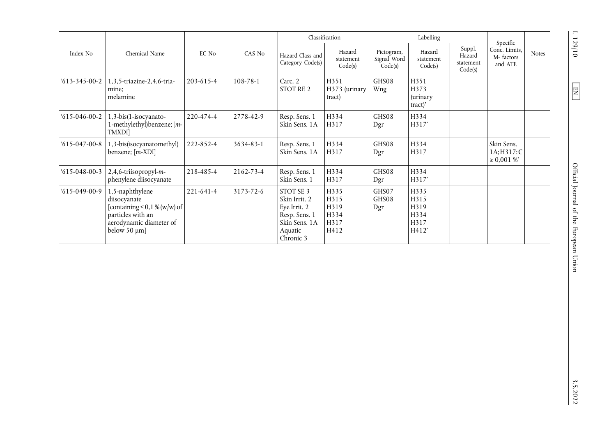| Index No             |                                                                                                                                            |                 |           |                                                                                                      | Classification                               |                                      | Labelling                                     |                                          |                                                   |              |
|----------------------|--------------------------------------------------------------------------------------------------------------------------------------------|-----------------|-----------|------------------------------------------------------------------------------------------------------|----------------------------------------------|--------------------------------------|-----------------------------------------------|------------------------------------------|---------------------------------------------------|--------------|
|                      | Chemical Name                                                                                                                              | EC No           | CAS No    | Hazard Class and<br>Category Code(s)                                                                 | Hazard<br>statement<br>Code(s)               | Pictogram,<br>Signal Word<br>Code(s) | Hazard<br>statement<br>Code(s)                | Suppl.<br>Hazard<br>statement<br>Code(s) | Specific<br>Conc. Limits,<br>M-factors<br>and ATE | <b>Notes</b> |
| $613 - 345 - 00 - 2$ | 1,3,5-triazine-2,4,6-tria-<br>mine:<br>melamine                                                                                            | $203 - 615 - 4$ | 108-78-1  | Carc. 2<br>STOT RE 2                                                                                 | H351<br>H373 (urinary<br>tract)              | GHS08<br>Wng                         | H351<br>H373<br>(urinary<br>tract)'           |                                          |                                                   |              |
| $615-046-00-2$       | 1,3-bis(1-isocyanato-<br>1-methylethyl)benzene; [m-<br>TMXDI]                                                                              | 220-474-4       | 2778-42-9 | Resp. Sens. 1<br>Skin Sens. 1A                                                                       | H334<br>H317                                 | GHS08<br>Dgr                         | H334<br>H317'                                 |                                          |                                                   |              |
| $615-047-00-8$       | 1,3-bis(isocyanatomethyl)<br>benzene; [m-XDI]                                                                                              | 222-852-4       | 3634-83-1 | Resp. Sens. 1<br>Skin Sens. 1A                                                                       | H334<br>H317                                 | GHS08<br>Dgr                         | H334<br>H317                                  |                                          | Skin Sens.<br>1A; H317: C<br>$\geq 0,001\%$       |              |
| $615-048-00-3$       | 2,4,6-triisopropyl-m-<br>phenylene diisocyanate                                                                                            | 218-485-4       | 2162-73-4 | Resp. Sens. 1<br>Skin Sens. 1                                                                        | H334<br>H317                                 | GHS08<br>Dgr                         | H334<br>H317'                                 |                                          |                                                   |              |
| $615-049-00-9$       | 1,5-naphthylene<br>diisocyanate<br>[containing $\leq$ 0,1 % (w/w) of<br>particles with an<br>aerodynamic diameter of<br>below $50 \mu m$ ] | 221-641-4       | 3173-72-6 | STOT SE 3<br>Skin Irrit. 2<br>Eye Irrit. 2<br>Resp. Sens. 1<br>Skin Sens. 1A<br>Aquatic<br>Chronic 3 | H335<br>H315<br>H319<br>H334<br>H317<br>H412 | GHS07<br>GHS08<br>Dgr                | H335<br>H315<br>H319<br>H334<br>H317<br>H412' |                                          |                                                   |              |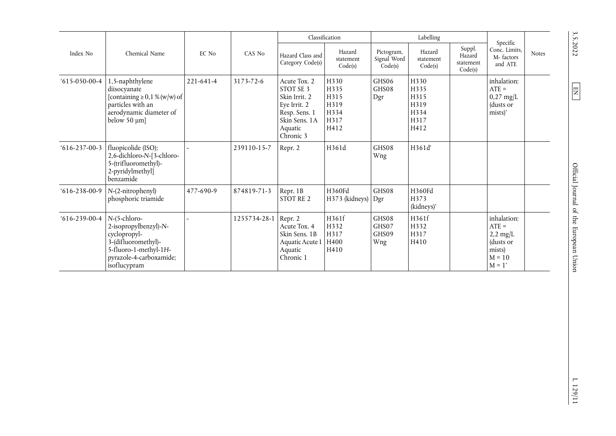| Index No             |                                                                                                                                                  |           |              |                                                                                                                      | Classification                                       |                                      | Labelling                                            |                                          | Specific                                                                                    |              |
|----------------------|--------------------------------------------------------------------------------------------------------------------------------------------------|-----------|--------------|----------------------------------------------------------------------------------------------------------------------|------------------------------------------------------|--------------------------------------|------------------------------------------------------|------------------------------------------|---------------------------------------------------------------------------------------------|--------------|
|                      | Chemical Name                                                                                                                                    | EC No     | CAS No       | Hazard Class and<br>Category Code(s)                                                                                 | Hazard<br>statement<br>Code(s)                       | Pictogram,<br>Signal Word<br>Code(s) | Hazard<br>statement<br>Code(s)                       | Suppl.<br>Hazard<br>statement<br>Code(s) | Conc. Limits,<br>M-factors<br>and ATE                                                       | <b>Notes</b> |
| $615-050-00-4$       | 1,5-naphthylene<br>diisocyanate<br>[containing $\geq$ 0,1 % (w/w) of<br>particles with an<br>aerodynamic diameter of<br>below $50 \mu m$ ]       | 221-641-4 | 3173-72-6    | Acute Tox. 2<br>STOT SE 3<br>Skin Irrit. 2<br>Eye Irrit. 2<br>Resp. Sens. 1<br>Skin Sens, 1A<br>Aquatic<br>Chronic 3 | H330<br>H335<br>H315<br>H319<br>H334<br>H317<br>H412 | GHS06<br>GHS08<br>Dgr                | H330<br>H335<br>H315<br>H319<br>H334<br>H317<br>H412 |                                          | inhalation:<br>$ATE =$<br>$0,27 \text{ mg/L}$<br>(dusts or<br>mists)'                       |              |
| $616 - 237 - 00 - 3$ | fluopicolide (ISO);<br>2,6-dichloro-N-[3-chloro-<br>5-(trifluoromethyl)-<br>2-pyridylmethyl]<br>benzamide                                        |           | 239110-15-7  | Repr. 2                                                                                                              | H361d                                                | GHS08<br>Wng                         | H361d'                                               |                                          |                                                                                             |              |
| $616 - 238 - 00 - 9$ | N-(2-nitrophenyl)<br>phosphoric triamide                                                                                                         | 477-690-9 | 874819-71-3  | Repr. 1B<br><b>STOT RE 2</b>                                                                                         | H360Fd<br>H373 (kidneys) Dgr                         | GHS08                                | H360Fd<br>H373<br>(kidneys)'                         |                                          |                                                                                             |              |
| $616 - 239 - 00 - 4$ | N-(5-chloro-<br>2-isopropylbenzyl)-N-<br>cyclopropyl-<br>3-(difluoromethyl)-<br>5-fluoro-1-methyl-1H-<br>pyrazole-4-carboxamide;<br>isoflucypram |           | 1255734-28-1 | Repr. 2<br>Acute Tox. 4<br>Skin Sens, 1B<br>Aquatic Acute 1 H400<br>Aquatic<br>Chronic 1                             | H361f<br>H332<br>H317<br>H410                        | GHS08<br>GHS07<br>GHS09<br>Wng       | H361f<br>H332<br>H317<br>H410                        |                                          | inhalation:<br>$ATE =$<br>$2,2 \text{ mg/L}$<br>(dusts or<br>mists)<br>$M = 10$<br>$M = 1'$ |              |

3.5.2022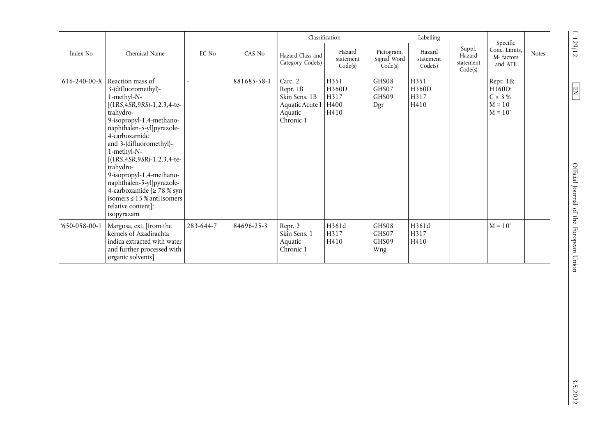| Index No<br>$616 - 240 - 00 - X$ |                                                                                                                                                                                                                                                                                                                                                                                                                                                               |           |             |                                                                                 | Classification                        |                                      | Labelling                      |                                          | Specific                                                     |              |
|----------------------------------|---------------------------------------------------------------------------------------------------------------------------------------------------------------------------------------------------------------------------------------------------------------------------------------------------------------------------------------------------------------------------------------------------------------------------------------------------------------|-----------|-------------|---------------------------------------------------------------------------------|---------------------------------------|--------------------------------------|--------------------------------|------------------------------------------|--------------------------------------------------------------|--------------|
|                                  | Chemical Name                                                                                                                                                                                                                                                                                                                                                                                                                                                 | EC No     | CAS No      | Hazard Class and<br>Category Code(s)                                            | Hazard<br>statement<br>Code(s)        | Pictogram,<br>Signal Word<br>Code(s) | Hazard<br>statement<br>Code(s) | Suppl.<br>Hazard<br>statement<br>Code(s) | Conc. Limits,<br>M-factors<br>and ATE                        | <b>Notes</b> |
|                                  | Reaction mass of<br>3-(difluoromethyl)-<br>1-methyl-N-<br>$[(1RS, 4SR, 9RS) - 1, 2, 3, 4-te-$<br>trahydro-<br>9-isopropyl-1,4-methano-<br>naphthalen-5-yl]pyrazole-<br>4-carboxamide<br>and 3-(difluoromethyl)-<br>1-methyl-N-<br>$[(1RS, 4SR, 9SR)-1, 2, 3, 4-te-$<br>trahydro-<br>9-isopropyl-1,4-methano-<br>naphthalen-5-yl]pyrazole-<br>4-carboxamide $\lceil 2 \rceil$ 78 % syn<br>isomers $\leq 15$ % anti isomers<br>relative content];<br>isopyrazam |           | 881685-58-1 | Carc. 2<br>Repr. 1B<br>Skin Sens. 1B<br>Aquatic Acute 1<br>Aquatic<br>Chronic 1 | H351<br>H360D<br>H317<br>H400<br>H410 | GHS08<br>GHS07<br>GHS09<br>Dgr       | H351<br>H360D<br>H317<br>H410  |                                          | Repr. 1B;<br>H360D:<br>$C \geq 3\%$<br>$M = 10$<br>$M = 10'$ |              |
| $650 - 058 - 00 - 1$             | Margosa, ext. [from the<br>kernels of Azadirachta<br>indica extracted with water<br>and further processed with<br>organic solvents]                                                                                                                                                                                                                                                                                                                           | 283-644-7 | 84696-25-3  | Repr. 2<br>Skin Sens. 1<br>Aquatic<br>Chronic 1                                 | H361d<br>H317<br>H410                 | GHS08<br>GHS07<br>GHS09<br>Wng       | H361d<br>H317<br>H410          |                                          | $M = 10'$                                                    |              |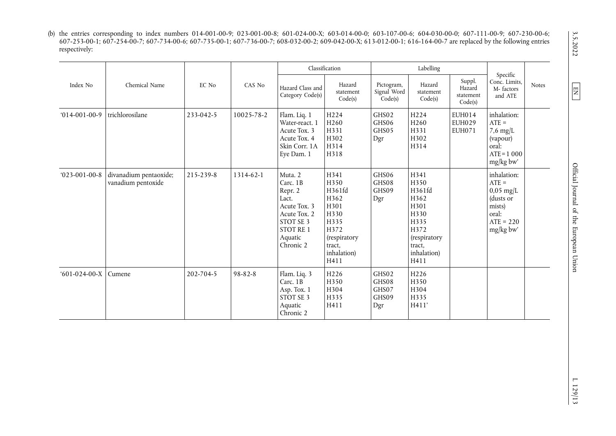(b) the entries corresponding to index numbers 014-001-00-9; 023-001-00-8; 601-024-00-X; 603-014-00-0; 603-107-00-6; 604-030-00-0; 607-111-00-9; 607-230-00-6; 607-253-00-1; 607-254-00-7; 607-734-00-6; 607-735-00-1; 607-736-00-7; 608-032-00-2; 609-042-00-X; 613-012-00-1; 616-164-00-7 are replaced by the following entries respectively:

|                      |                                              |           |               |                                                                                                                           | Classification                                                                                                         |                                         | Labelling                                                                                                       |                                          |                                                                                                   |              |
|----------------------|----------------------------------------------|-----------|---------------|---------------------------------------------------------------------------------------------------------------------------|------------------------------------------------------------------------------------------------------------------------|-----------------------------------------|-----------------------------------------------------------------------------------------------------------------|------------------------------------------|---------------------------------------------------------------------------------------------------|--------------|
| Index No             | Chemical Name                                | EC No     | CAS No        | Hazard Class and<br>Category Code(s)                                                                                      | Hazard<br>statement<br>Code(s)                                                                                         | Pictogram,<br>Signal Word<br>Code(s)    | Hazard<br>statement<br>Code(s)                                                                                  | Suppl.<br>Hazard<br>statement<br>Code(s) | Specific<br>Conc. Limits,<br>M-factors<br>and ATE                                                 | <b>Notes</b> |
| $014-001-00-9$       | trichlorosilane                              | 233-042-5 | 10025-78-2    | Flam. Liq. 1<br>Water-react. 1<br>Acute Tox. 3<br>Acute Tox. 4<br>Skin Corr. 1A<br>Eye Dam. 1                             | H <sub>224</sub><br>H260<br>H331<br>H302<br>H314<br>H318                                                               | GHS02<br>GHS06<br>GHS05<br>Dgr          | H <sub>224</sub><br>H <sub>260</sub><br>H331<br>H302<br>H314                                                    | <b>EUH014</b><br>EUH029<br><b>EUH071</b> | inhalation:<br>$ATE =$<br>$7.6 \text{ mg/L}$<br>(vapour)<br>oral:<br>$ATE = 1000$<br>mg/kg bw'    |              |
| $023 - 001 - 00 - 8$ | divanadium pentaoxide;<br>vanadium pentoxide | 215-239-8 | 1314-62-1     | Muta. 2<br>Carc. 1B<br>Repr. 2<br>Lact.<br>Acute Tox. 3<br>Acute Tox. 2<br>STOT SE 3<br>STOT RE 1<br>Aquatic<br>Chronic 2 | H341<br>H350<br>H361fd<br>H362<br>H301<br>H330<br>H335<br>H372<br><i>(respiratory</i><br>tract,<br>inhalation)<br>H411 | GHS06<br>GHS08<br>GHS09<br>Dgr          | H341<br>H350<br>H361fd<br>H362<br>H301<br>H330<br>H335<br>H372<br>(respiratory<br>tract,<br>inhalation)<br>H411 |                                          | inhalation:<br>$ATE =$<br>$0.05$ mg/L<br>(dusts or<br>mists)<br>oral:<br>$ATE = 220$<br>mg/kg bw' |              |
| $601-024-00-X$       | Cumene                                       | 202-704-5 | $98 - 82 - 8$ | Flam. Liq. 3<br>Carc. 1B<br>Asp. Tox. 1<br>STOT SE 3<br>Aquatic<br>Chronic 2                                              | H226<br>H350<br>H304<br>H335<br>H411                                                                                   | GHS02<br>GHS08<br>GHS07<br>GHS09<br>Dgr | H226<br>H350<br>H304<br>H335<br>H411'                                                                           |                                          |                                                                                                   |              |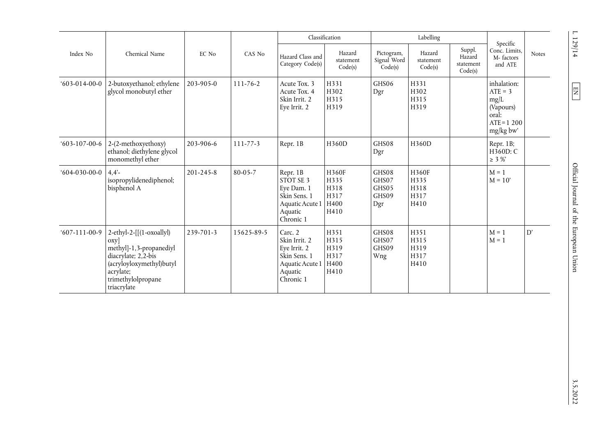| Index No         |                                                                                                                                                                      |                 |                |                                                                                                     | Classification                                |                                         | Labelling                             |                                          | Specific                                                                              |              |
|------------------|----------------------------------------------------------------------------------------------------------------------------------------------------------------------|-----------------|----------------|-----------------------------------------------------------------------------------------------------|-----------------------------------------------|-----------------------------------------|---------------------------------------|------------------------------------------|---------------------------------------------------------------------------------------|--------------|
|                  | Chemical Name                                                                                                                                                        | EC No           | CAS No         | Hazard Class and<br>Category Code(s)                                                                | Hazard<br>statement<br>Code(s)                | Pictogram,<br>Signal Word<br>Code(s)    | Hazard<br>statement<br>Code(s)        | Suppl.<br>Hazard<br>statement<br>Code(s) | Conc. Limits.<br>M-factors<br>and ATE                                                 | <b>Notes</b> |
| $603-014-00-0$   | 2-butoxyethanol; ethylene<br>glycol monobutyl ether                                                                                                                  | 203-905-0       | $111 - 76 - 2$ | Acute Tox. 3<br>Acute Tox. 4<br>Skin Irrit. 2<br>Eye Irrit. 2                                       | H331<br>H302<br>H315<br>H319                  | GHS06<br>Dgr                            | H331<br>H302<br>H315<br>H319          |                                          | inhalation:<br>$ATE = 3$<br>mg/L<br>(Vapours)<br>oral:<br>$ATE = 1200$<br>$mg/kg$ bw' |              |
| $603-107-00-6$   | 2-(2-methoxyethoxy)<br>ethanol; diethylene glycol<br>monomethyl ether                                                                                                | 203-906-6       | $111 - 77 - 3$ | Repr. 1B                                                                                            | H360D                                         | GHS08<br>Dgr                            | H360D                                 |                                          | Repr. 1B;<br>$H\overline{3}60D:C$<br>$\geq 3\%$                                       |              |
| $(604-030-00-0)$ | 4.4'<br>isopropylidenediphenol;<br>bisphenol A                                                                                                                       | $201 - 245 - 8$ | $80 - 05 - 7$  | Repr. 1B<br>STOT SE 3<br>Eye Dam. 1<br>Skin Sens. 1<br>Aquatic Acute 1<br>Aquatic<br>Chronic 1      | H360F<br>H335<br>H318<br>H317<br>H400<br>H410 | GHS08<br>GHS07<br>GHS05<br>GHS09<br>Dgr | H360F<br>H335<br>H318<br>H317<br>H410 |                                          | $M = 1$<br>$M = 10'$                                                                  |              |
| $607-111-00-9$   | $2-ethyl-2-[[(1-oxoally])$<br>$\exp$<br>methyl]-1,3-propanediyl<br>diacrylate; 2,2-bis<br>(acryloyloxymethyl)butyl<br>acrylate;<br>trimethylolpropane<br>triacrylate | 239-701-3       | 15625-89-5     | Carc. 2<br>Skin Irrit. 2<br>Eye Irrit. 2<br>Skin Sens. 1<br>Aquatic Acute 1<br>Aquatic<br>Chronic 1 | H351<br>H315<br>H319<br>H317<br>H400<br>H410  | GHS08<br>GHS07<br>GHS09<br>Wng          | H351<br>H315<br>H319<br>H317<br>H410  |                                          | $M = 1$<br>$M = 1$                                                                    | D'           |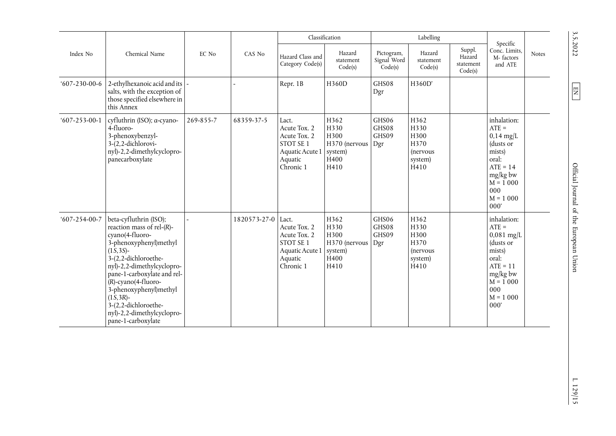|                      |                                                                                                                                                                                                                                                                                                                                                                     |           |              |                                                                                               | Classification                                                   |                                      | Labelling                                                                       |                                          | Specific                                                                                                                                    |              |
|----------------------|---------------------------------------------------------------------------------------------------------------------------------------------------------------------------------------------------------------------------------------------------------------------------------------------------------------------------------------------------------------------|-----------|--------------|-----------------------------------------------------------------------------------------------|------------------------------------------------------------------|--------------------------------------|---------------------------------------------------------------------------------|------------------------------------------|---------------------------------------------------------------------------------------------------------------------------------------------|--------------|
| Index No             | Chemical Name                                                                                                                                                                                                                                                                                                                                                       | EC No     | CAS No       | Hazard Class and<br>Category Code(s)                                                          | Hazard<br>statement<br>Code(s)                                   | Pictogram,<br>Signal Word<br>Code(s) | Hazard<br>statement<br>Code(s)                                                  | Suppl.<br>Hazard<br>statement<br>Code(s) | Conc. Limits,<br>M-factors<br>and ATE                                                                                                       | <b>Notes</b> |
| $607 - 230 - 00 - 6$ | 2-ethylhexanoic acid and its<br>salts, with the exception of<br>those specified elsewhere in<br>this Annex                                                                                                                                                                                                                                                          |           |              | Repr. 1B                                                                                      | H360D                                                            | GHS08<br>Dgr                         | H360D'                                                                          |                                          |                                                                                                                                             |              |
| $607 - 253 - 00 - 1$ | cyfluthrin (ISO); a-cyano-<br>4-fluoro-<br>3-phenoxybenzyl-<br>$3-(2,2-\text{dichlorovi-})$<br>nyl)-2,2-dimethylcyclopro-<br>panecarboxylate                                                                                                                                                                                                                        | 269-855-7 | 68359-37-5   | Lact.<br>Acute Tox. 2<br>Acute Tox. 2<br>STOT SE 1<br>Aquatic Acute 1<br>Aquatic<br>Chronic 1 | H362<br>H330<br>H300<br>H370 (nervous<br>system)<br>H400<br>H410 | GHS06<br>GHS08<br>GHS09<br>Dgr       | H362<br>H330<br>H300<br>H370<br><i>(nervous)</i><br>system)<br>H410             |                                          | inhalation:<br>$ATE =$<br>$0.14$ mg/L<br>(dusts or<br>mists)<br>oral:<br>$ATE = 14$<br>mg/kg bw<br>$M = 1000$<br>000<br>$M = 1000$<br>000'  |              |
| $607 - 254 - 00 - 7$ | beta-cyfluthrin (ISO);<br>reaction mass of rel- $(R)$ -<br>cyano(4-fluoro-<br>3-phenoxyphenyl)methyl<br>$(1\bar{S}, 3S)$ -<br>3-(2,2-dichloroethe-<br>nyl)-2,2-dimethylcyclopro-<br>pane-1-carboxylate and rel-<br>$(R)$ -cyano $(4$ -fluoro-<br>3-phenoxyphenyl)methyl<br>$(1S, 3R)$ -<br>3-(2,2-dichloroethe-<br>nyl)-2,2-dimethylcyclopro-<br>pane-1-carboxylate |           | 1820573-27-0 | Lact.<br>Acute Tox. 2<br>Acute Tox. 2<br>STOT SE 1<br>Aquatic Acute 1<br>Aquatic<br>Chronic 1 | H362<br>H330<br>H300<br>H370 (nervous<br>system)<br>H400<br>H410 | GHS06<br>GHS08<br>GHS09<br>Dgr       | H362<br>H330<br>H300<br>H370<br><i>(nervous)</i><br>system)<br>H <sub>410</sub> |                                          | inhalation:<br>$ATE =$<br>$0,081$ mg/L<br>(dusts or<br>mists)<br>oral:<br>$ATE = 11$<br>mg/kg bw<br>$M = 1000$<br>000<br>$M = 1000$<br>000' |              |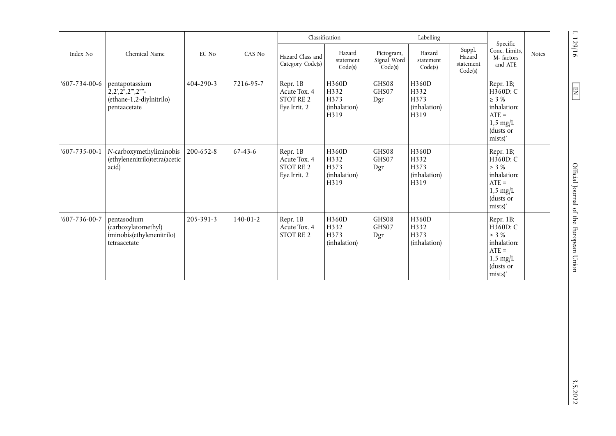| Index No             |                                                                                 |                 |                |                                                              | Classification                                |                                      | Labelling                                     |                                          |                                                                                                             |              |
|----------------------|---------------------------------------------------------------------------------|-----------------|----------------|--------------------------------------------------------------|-----------------------------------------------|--------------------------------------|-----------------------------------------------|------------------------------------------|-------------------------------------------------------------------------------------------------------------|--------------|
|                      | Chemical Name                                                                   | EC No           | CAS No         | Hazard Class and<br>Category Code(s)                         | Hazard<br>statement<br>Code(s)                | Pictogram,<br>Signal Word<br>Code(s) | Hazard<br>statement<br>Code(s)                | Suppl.<br>Hazard<br>statement<br>Code(s) | Specific<br>Conc. Limits,<br>M-factors<br>and ATE                                                           | <b>Notes</b> |
| $607 - 734 - 00 - 6$ | pentapotassium<br>(ethane-1,2-diylnitrilo)<br>pentaacetate                      | 404-290-3       | 7216-95-7      | Repr. 1B<br>Acute Tox. 4<br><b>STOT RE 2</b><br>Eye Irrit. 2 | H360D<br>H332<br>H373<br>(inhalation)<br>H319 | GHS08<br>GHS07<br>Dgr                | H360D<br>H332<br>H373<br>(inhalation)<br>H319 |                                          | Repr. 1B;<br>H360D: C<br>$\geq$ 3 %<br>inhalation:<br>$ATE =$<br>$1,5 \text{ mg/L}$<br>(dusts or<br>mists)' |              |
| $607 - 735 - 00 - 1$ | N-carboxymethyliminobis<br>(ethylenenitrilo)tetra(acetic<br>acid)               | $200 - 652 - 8$ | $67 - 43 - 6$  | Repr. 1B<br>Acute Tox. 4<br>STOT RE 2<br>Eye Irrit. 2        | H360D<br>H332<br>H373<br>(inhalation)<br>H319 | GHS08<br>GHS07<br>Dgr                | H360D<br>H332<br>H373<br>(inhalation)<br>H319 |                                          | Repr. 1B;<br>H360D: C<br>$\geq$ 3 %<br>inhalation:<br>$ATE =$<br>$1,5 \text{ mg/L}$<br>(dusts or<br>mists)' |              |
| $607 - 736 - 00 - 7$ | pentasodium<br>(carboxylatomethyl)<br>iminobis(ethylenenitrilo)<br>tetraacetate | $205 - 391 - 3$ | $140 - 01 - 2$ | Repr. 1B<br>Acute Tox. 4<br>STOT RE 2                        | H360D<br>H332<br>H373<br>(inhalation)         | GHS08<br>GHS07<br>Dgr                | H360D<br>H332<br>H373<br>(inhalation)         |                                          | Repr. 1B;<br>H360D: C<br>$\geq$ 3 %<br>inhalation:<br>$ATE =$<br>$1.5 \text{ mg/L}$<br>(dusts or<br>mists)' |              |